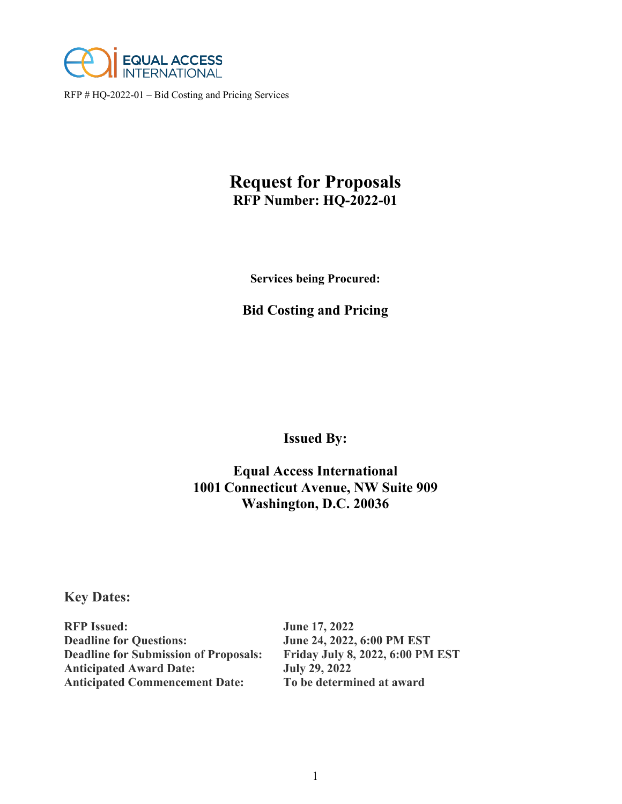

# **Request for Proposals RFP Number: HQ-2022-01**

**Services being Procured:**

## **Bid Costing and Pricing**

**Issued By:**

## **Equal Access International 1001 Connecticut Avenue, NW Suite 909 Washington, D.C. 20036**

## **Key Dates:**

| <b>RFP Issued:</b>                           | <b>June 17, 2022</b>                    |
|----------------------------------------------|-----------------------------------------|
| <b>Deadline for Questions:</b>               | June 24, 2022, 6:00 PM EST              |
| <b>Deadline for Submission of Proposals:</b> | <b>Friday July 8, 2022, 6:00 PM EST</b> |
| <b>Anticipated Award Date:</b>               | <b>July 29, 2022</b>                    |
| <b>Anticipated Commencement Date:</b>        | To be determined at award               |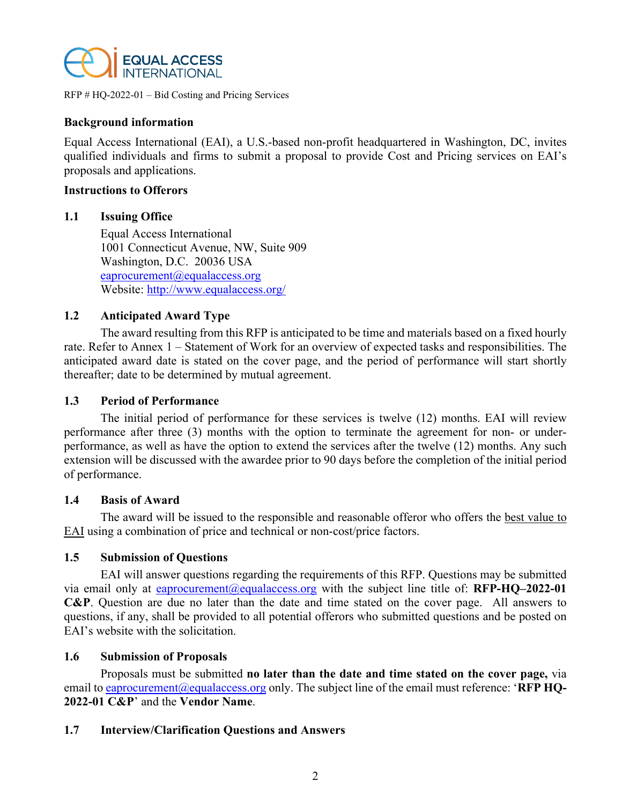

## **Background information**

Equal Access International (EAI), a U.S.-based non-profit headquartered in Washington, DC, invites qualified individuals and firms to submit a proposal to provide Cost and Pricing services on EAI's proposals and applications.

#### **Instructions to Offerors**

#### **1.1 Issuing Office**

Equal Access International 1001 Connecticut Avenue, NW, Suite 909 Washington, D.C. 20036 USA [eaprocurement@equalaccess.org](mailto:eaprocurement@equalaccess.org) Website:<http://www.equalaccess.org/>

## **1.2 Anticipated Award Type**

The award resulting from this RFP is anticipated to be time and materials based on a fixed hourly rate. Refer to Annex 1 – Statement of Work for an overview of expected tasks and responsibilities. The anticipated award date is stated on the cover page, and the period of performance will start shortly thereafter; date to be determined by mutual agreement.

#### **1.3 Period of Performance**

The initial period of performance for these services is twelve (12) months. EAI will review performance after three (3) months with the option to terminate the agreement for non- or underperformance, as well as have the option to extend the services after the twelve (12) months. Any such extension will be discussed with the awardee prior to 90 days before the completion of the initial period of performance.

#### **1.4 Basis of Award**

The award will be issued to the responsible and reasonable offeror who offers the best value to EAI using a combination of price and technical or non-cost/price factors.

## **1.5 Submission of Questions**

EAI will answer questions regarding the requirements of this RFP. Questions may be submitted via email only at [eaprocurement@equalaccess.org](mailto:eaprocurement@equalaccess.org) with the subject line title of: **RFP-HQ–2022-01 C&P**. Question are due no later than the date and time stated on the cover page. All answers to questions, if any, shall be provided to all potential offerors who submitted questions and be posted on EAI's website with the solicitation.

#### **1.6 Submission of Proposals**

Proposals must be submitted **no later than the date and time stated on the cover page,** via email to eaprocurement (@equalaccess.org only. The subject line of the email must reference: 'RFP HQ-**2022-01 C&P**' and the **Vendor Name**.

## **1.7 Interview/Clarification Questions and Answers**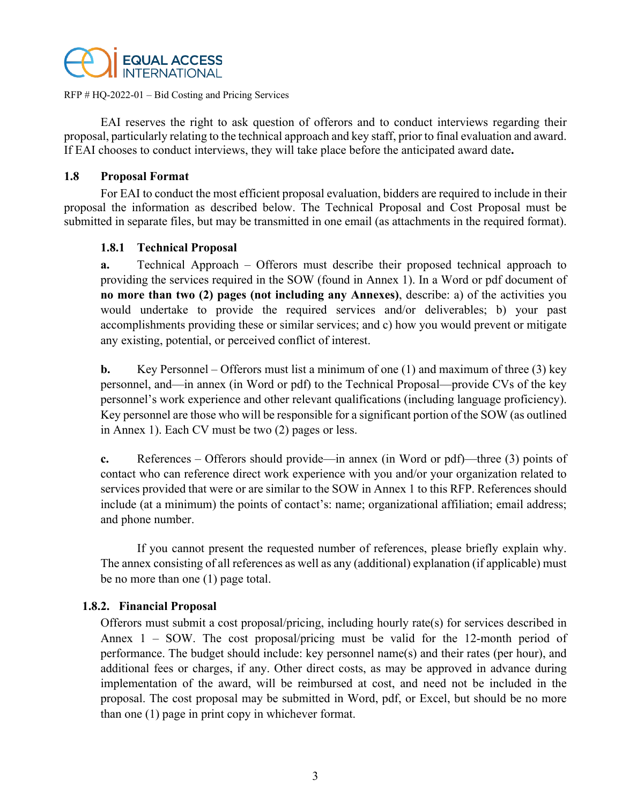

EAI reserves the right to ask question of offerors and to conduct interviews regarding their proposal, particularly relating to the technical approach and key staff, prior to final evaluation and award. If EAI chooses to conduct interviews, they will take place before the anticipated award date**.**

#### **1.8 Proposal Format**

For EAI to conduct the most efficient proposal evaluation, bidders are required to include in their proposal the information as described below. The Technical Proposal and Cost Proposal must be submitted in separate files, but may be transmitted in one email (as attachments in the required format).

## **1.8.1 Technical Proposal**

**a.** Technical Approach – Offerors must describe their proposed technical approach to providing the services required in the SOW (found in Annex 1). In a Word or pdf document of **no more than two (2) pages (not including any Annexes)**, describe: a) of the activities you would undertake to provide the required services and/or deliverables; b) your past accomplishments providing these or similar services; and c) how you would prevent or mitigate any existing, potential, or perceived conflict of interest.

**b.** Key Personnel – Offerors must list a minimum of one (1) and maximum of three (3) key personnel, and—in annex (in Word or pdf) to the Technical Proposal—provide CVs of the key personnel's work experience and other relevant qualifications (including language proficiency). Key personnel are those who will be responsible for a significant portion of the SOW (as outlined in Annex 1). Each CV must be two (2) pages or less.

**c.** References – Offerors should provide—in annex (in Word or pdf)—three (3) points of contact who can reference direct work experience with you and/or your organization related to services provided that were or are similar to the SOW in Annex 1 to this RFP. References should include (at a minimum) the points of contact's: name; organizational affiliation; email address; and phone number.

If you cannot present the requested number of references, please briefly explain why. The annex consisting of all references as well as any (additional) explanation (if applicable) must be no more than one (1) page total.

## **1.8.2. Financial Proposal**

Offerors must submit a cost proposal/pricing, including hourly rate(s) for services described in Annex 1 – SOW. The cost proposal/pricing must be valid for the 12-month period of performance. The budget should include: key personnel name(s) and their rates (per hour), and additional fees or charges, if any. Other direct costs, as may be approved in advance during implementation of the award, will be reimbursed at cost, and need not be included in the proposal. The cost proposal may be submitted in Word, pdf, or Excel, but should be no more than one (1) page in print copy in whichever format.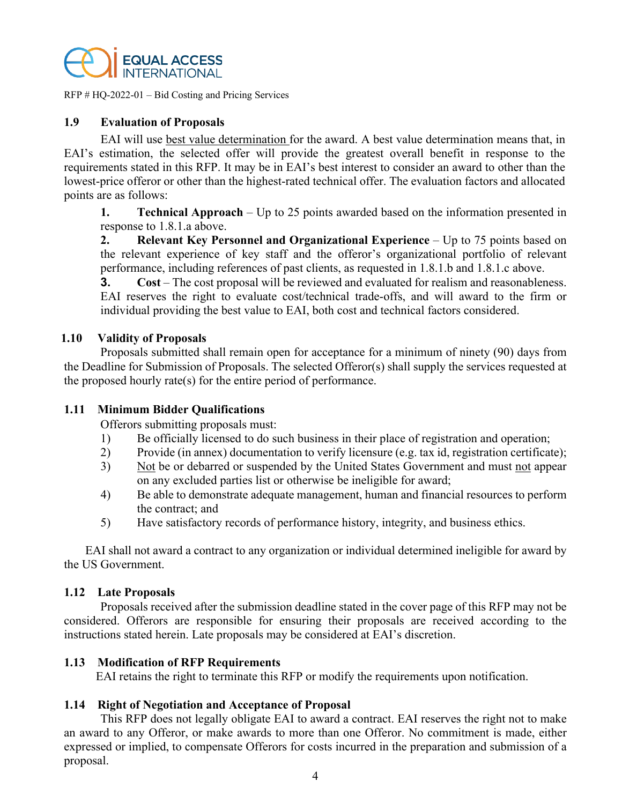

## **1.9 Evaluation of Proposals**

EAI will use best value determination for the award. A best value determination means that, in EAI's estimation, the selected offer will provide the greatest overall benefit in response to the requirements stated in this RFP. It may be in EAI's best interest to consider an award to other than the lowest-price offeror or other than the highest-rated technical offer. The evaluation factors and allocated points are as follows:

**1. Technical Approach** – Up to 25 points awarded based on the information presented in response to 1.8.1.a above.

**2. Relevant Key Personnel and Organizational Experience** – Up to 75 points based on the relevant experience of key staff and the offeror's organizational portfolio of relevant performance, including references of past clients, as requested in 1.8.1.b and 1.8.1.c above.

**3. Cost** – The cost proposal will be reviewed and evaluated for realism and reasonableness. EAI reserves the right to evaluate cost/technical trade-offs, and will award to the firm or individual providing the best value to EAI, both cost and technical factors considered.

#### **1.10 Validity of Proposals**

Proposals submitted shall remain open for acceptance for a minimum of ninety (90) days from the Deadline for Submission of Proposals. The selected Offeror(s) shall supply the services requested at the proposed hourly rate(s) for the entire period of performance.

## **1.11 Minimum Bidder Qualifications**

Offerors submitting proposals must:

- 1) Be officially licensed to do such business in their place of registration and operation;
- 2) Provide (in annex) documentation to verify licensure (e.g. tax id, registration certificate);
- 3) Not be or debarred or suspended by the United States Government and must not appear on any excluded parties list or otherwise be ineligible for award;
- 4) Be able to demonstrate adequate management, human and financial resources to perform the contract; and
- 5) Have satisfactory records of performance history, integrity, and business ethics.

EAI shall not award a contract to any organization or individual determined ineligible for award by the US Government.

#### **1.12 Late Proposals**

Proposals received after the submission deadline stated in the cover page of this RFP may not be considered. Offerors are responsible for ensuring their proposals are received according to the instructions stated herein. Late proposals may be considered at EAI's discretion.

#### **1.13 Modification of RFP Requirements**

EAI retains the right to terminate this RFP or modify the requirements upon notification.

## **1.14 Right of Negotiation and Acceptance of Proposal**

This RFP does not legally obligate EAI to award a contract. EAI reserves the right not to make an award to any Offeror, or make awards to more than one Offeror. No commitment is made, either expressed or implied, to compensate Offerors for costs incurred in the preparation and submission of a proposal.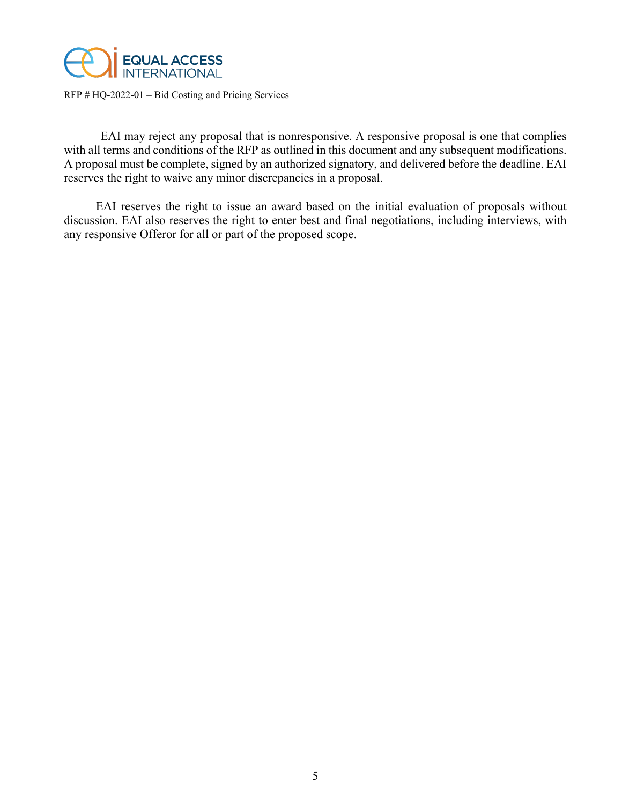

EAI may reject any proposal that is nonresponsive. A responsive proposal is one that complies with all terms and conditions of the RFP as outlined in this document and any subsequent modifications. A proposal must be complete, signed by an authorized signatory, and delivered before the deadline. EAI reserves the right to waive any minor discrepancies in a proposal.

EAI reserves the right to issue an award based on the initial evaluation of proposals without discussion. EAI also reserves the right to enter best and final negotiations, including interviews, with any responsive Offeror for all or part of the proposed scope.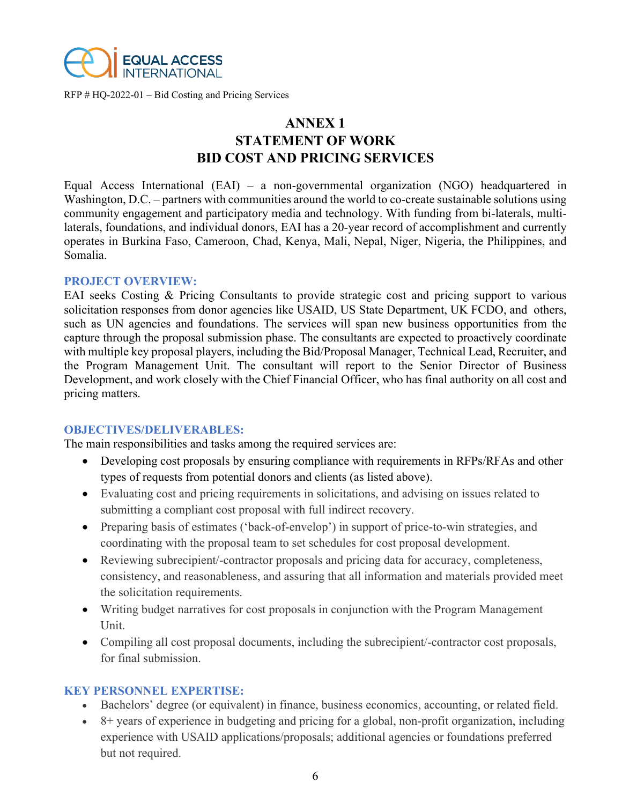

## **ANNEX 1 STATEMENT OF WORK BID COST AND PRICING SERVICES**

Equal Access International (EAI) – a non-governmental organization (NGO) headquartered in Washington, D.C. – partners with communities around the world to co-create sustainable solutions using community engagement and participatory media and technology. With funding from bi-laterals, multilaterals, foundations, and individual donors, EAI has a 20-year record of accomplishment and currently operates in Burkina Faso, Cameroon, Chad, Kenya, Mali, Nepal, Niger, Nigeria, the Philippines, and Somalia.

#### **PROJECT OVERVIEW:**

EAI seeks Costing & Pricing Consultants to provide strategic cost and pricing support to various solicitation responses from donor agencies like USAID, US State Department, UK FCDO, and others, such as UN agencies and foundations. The services will span new business opportunities from the capture through the proposal submission phase. The consultants are expected to proactively coordinate with multiple key proposal players, including the Bid/Proposal Manager, Technical Lead, Recruiter, and the Program Management Unit. The consultant will report to the Senior Director of Business Development, and work closely with the Chief Financial Officer, who has final authority on all cost and pricing matters.

## **OBJECTIVES/DELIVERABLES:**

The main responsibilities and tasks among the required services are:

- Developing cost proposals by ensuring compliance with requirements in RFPs/RFAs and other types of requests from potential donors and clients (as listed above).
- Evaluating cost and pricing requirements in solicitations, and advising on issues related to submitting a compliant cost proposal with full indirect recovery.
- Preparing basis of estimates ('back-of-envelop') in support of price-to-win strategies, and coordinating with the proposal team to set schedules for cost proposal development.
- Reviewing subrecipient/-contractor proposals and pricing data for accuracy, completeness, consistency, and reasonableness, and assuring that all information and materials provided meet the solicitation requirements.
- Writing budget narratives for cost proposals in conjunction with the Program Management Unit.
- Compiling all cost proposal documents, including the subrecipient/-contractor cost proposals, for final submission.

## **KEY PERSONNEL EXPERTISE:**

- Bachelors' degree (or equivalent) in finance, business economics, accounting, or related field.
- 8+ years of experience in budgeting and pricing for a global, non-profit organization, including experience with USAID applications/proposals; additional agencies or foundations preferred but not required.